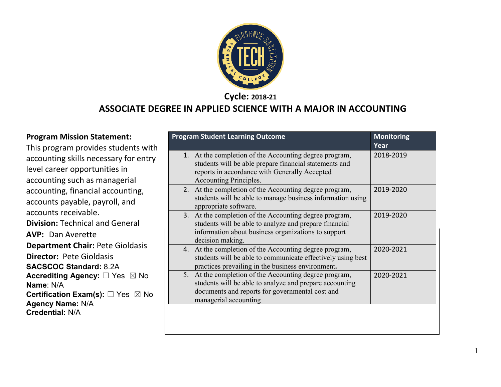

**Cycle: 2018-21**

#### **ASSOCIATE DEGREE IN APPLIED SCIENCE WITH A MAJOR IN ACCOUNTING**

#### **Program Mission Statement:**

This program provides students with accounting skills necessary for entry level career opportunities in accounting such as managerial accounting, financial accounting, accounts payable, payroll, and accounts receivable. **Division:** Technical and General **AVP:** Dan Averette **Department Chair:** Pete Gioldasis **Director:** Pete Gioldasis **SACSCOC Standard:** 8.2A **Accrediting Agency:** ☐ Yes ☒ No **Name**: N/A **Certification Exam(s):** □ Yes ⊠ No **Agency Name:** N/A **Credential:** N/A

| <b>Program Student Learning Outcome</b>                                                                                                                                                       | <b>Monitoring</b><br>Year |
|-----------------------------------------------------------------------------------------------------------------------------------------------------------------------------------------------|---------------------------|
| 1. At the completion of the Accounting degree program,<br>students will be able prepare financial statements and<br>reports in accordance with Generally Accepted<br>Accounting Principles.   | 2018-2019                 |
| 2. At the completion of the Accounting degree program,<br>students will be able to manage business information using<br>appropriate software.                                                 | 2019-2020                 |
| 3. At the completion of the Accounting degree program,<br>students will be able to analyze and prepare financial<br>information about business organizations to support<br>decision making.   | 2019-2020                 |
| 4. At the completion of the Accounting degree program,<br>students will be able to communicate effectively using best<br>practices prevailing in the business environment.                    | 2020-2021                 |
| 5. At the completion of the Accounting degree program,<br>students will be able to analyze and prepare accounting<br>documents and reports for governmental cost and<br>managerial accounting | 2020-2021                 |
|                                                                                                                                                                                               |                           |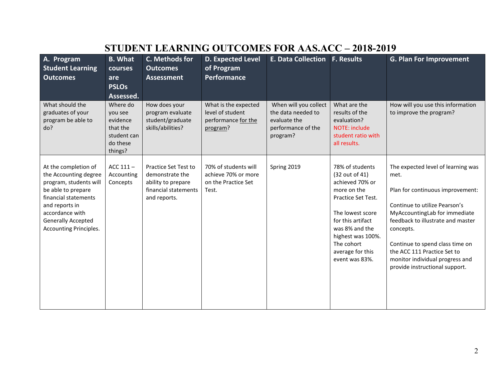## **STUDENT LEARNING OUTCOMES FOR AAS.ACC – 2018-2019**

| A. Program<br><b>Student Learning</b><br><b>Outcomes</b>                                                                                                                                                   | <b>B.</b> What<br>courses<br>are<br><b>PSLOs</b><br>Assessed.                     | C. Methods for<br><b>Outcomes</b><br><b>Assessment</b>                                                       | <b>D. Expected Level</b><br>of Program<br><b>Performance</b>                | <b>E. Data Collection</b>                                                                     | <b>F. Results</b>                                                                                                                                                                                                             | <b>G. Plan For Improvement</b>                                                                                                                                                                                                                                                                                                            |
|------------------------------------------------------------------------------------------------------------------------------------------------------------------------------------------------------------|-----------------------------------------------------------------------------------|--------------------------------------------------------------------------------------------------------------|-----------------------------------------------------------------------------|-----------------------------------------------------------------------------------------------|-------------------------------------------------------------------------------------------------------------------------------------------------------------------------------------------------------------------------------|-------------------------------------------------------------------------------------------------------------------------------------------------------------------------------------------------------------------------------------------------------------------------------------------------------------------------------------------|
| What should the<br>graduates of your<br>program be able to<br>do?                                                                                                                                          | Where do<br>you see<br>evidence<br>that the<br>student can<br>do these<br>things? | How does your<br>program evaluate<br>student/graduate<br>skills/abilities?                                   | What is the expected<br>level of student<br>performance for the<br>program? | When will you collect<br>the data needed to<br>evaluate the<br>performance of the<br>program? | What are the<br>results of the<br>evaluation?<br><b>NOTE: include</b><br>student ratio with<br>all results.                                                                                                                   | How will you use this information<br>to improve the program?                                                                                                                                                                                                                                                                              |
| At the completion of<br>the Accounting degree<br>program, students will<br>be able to prepare<br>financial statements<br>and reports in<br>accordance with<br>Generally Accepted<br>Accounting Principles. | ACC $111-$<br>Accounting<br>Concepts                                              | <b>Practice Set Test to</b><br>demonstrate the<br>ability to prepare<br>financial statements<br>and reports. | 70% of students will<br>achieve 70% or more<br>on the Practice Set<br>Test. | Spring 2019                                                                                   | 78% of students<br>(32 out of 41)<br>achieved 70% or<br>more on the<br>Practice Set Test.<br>The lowest score<br>for this artifact<br>was 8% and the<br>highest was 100%.<br>The cohort<br>average for this<br>event was 83%. | The expected level of learning was<br>met.<br>Plan for continuous improvement:<br>Continue to utilize Pearson's<br>MyAccountingLab for immediate<br>feedback to illustrate and master<br>concepts.<br>Continue to spend class time on<br>the ACC 111 Practice Set to<br>monitor individual progress and<br>provide instructional support. |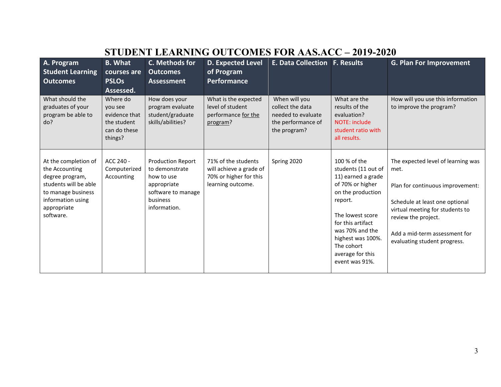## **STUDENT LEARNING OUTCOMES FOR AAS.ACC – 2019-2020**

| A. Program<br><b>Student Learning</b><br><b>Outcomes</b>                                                                                                  | <b>B. What</b><br>courses are<br><b>PSLOs</b><br>Assessed.                     | C. Methods for<br><b>Outcomes</b><br><b>Assessment</b>                                                                    | <b>D. Expected Level</b><br>of Program<br><b>Performance</b>                                  | <b>E. Data Collection F. Results</b>                                                          |                                                                                                                                                                                                                                                    | <b>G. Plan For Improvement</b>                                                                                                                                                                                                              |
|-----------------------------------------------------------------------------------------------------------------------------------------------------------|--------------------------------------------------------------------------------|---------------------------------------------------------------------------------------------------------------------------|-----------------------------------------------------------------------------------------------|-----------------------------------------------------------------------------------------------|----------------------------------------------------------------------------------------------------------------------------------------------------------------------------------------------------------------------------------------------------|---------------------------------------------------------------------------------------------------------------------------------------------------------------------------------------------------------------------------------------------|
| What should the<br>graduates of your<br>program be able to<br>do?                                                                                         | Where do<br>you see<br>evidence that<br>the student<br>can do these<br>things? | How does your<br>program evaluate<br>student/graduate<br>skills/abilities?                                                | What is the expected<br>level of student<br>performance for the<br>program?                   | When will you<br>collect the data<br>needed to evaluate<br>the performance of<br>the program? | What are the<br>results of the<br>evaluation?<br>NOTE: include<br>student ratio with<br>all results.                                                                                                                                               | How will you use this information<br>to improve the program?                                                                                                                                                                                |
| At the completion of<br>the Accounting<br>degree program,<br>students will be able<br>to manage business<br>information using<br>appropriate<br>software. | ACC 240 -<br>Computerized<br>Accounting                                        | <b>Production Report</b><br>to demonstrate<br>how to use<br>appropriate<br>software to manage<br>business<br>information. | 71% of the students<br>will achieve a grade of<br>70% or higher for this<br>learning outcome. | Spring 2020                                                                                   | 100 % of the<br>students (11 out of<br>11) earned a grade<br>of 70% or higher<br>on the production<br>report.<br>The lowest score<br>for this artifact<br>was 70% and the<br>highest was 100%.<br>The cohort<br>average for this<br>event was 91%. | The expected level of learning was<br>met.<br>Plan for continuous improvement:<br>Schedule at least one optional<br>virtual meeting for students to<br>review the project.<br>Add a mid-term assessment for<br>evaluating student progress. |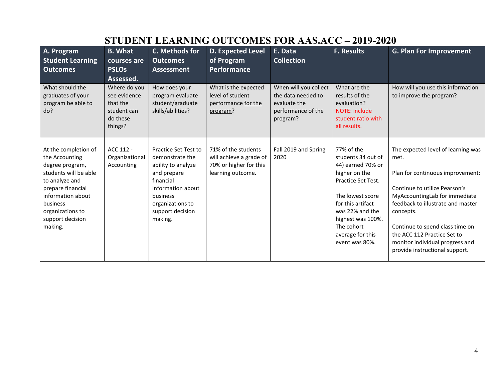| A. Program<br><b>Student Learning</b><br><b>Outcomes</b>                                                                                                                                                      | <b>B.</b> What<br>courses are<br><b>PSLOs</b><br>Assessed.                     | C. Methods for<br><b>Outcomes</b><br><b>Assessment</b>                                                                                                                        | <b>D. Expected Level</b><br>of Program<br><b>Performance</b>                                  | E. Data<br><b>Collection</b>                                                                  | <b>F. Results</b>                                                                                                                                                                                                                 | <b>G. Plan For Improvement</b>                                                                                                                                                                                                                                                                                                            |
|---------------------------------------------------------------------------------------------------------------------------------------------------------------------------------------------------------------|--------------------------------------------------------------------------------|-------------------------------------------------------------------------------------------------------------------------------------------------------------------------------|-----------------------------------------------------------------------------------------------|-----------------------------------------------------------------------------------------------|-----------------------------------------------------------------------------------------------------------------------------------------------------------------------------------------------------------------------------------|-------------------------------------------------------------------------------------------------------------------------------------------------------------------------------------------------------------------------------------------------------------------------------------------------------------------------------------------|
| What should the<br>graduates of your<br>program be able to<br>do?                                                                                                                                             | Where do you<br>see evidence<br>that the<br>student can<br>do these<br>things? | How does your<br>program evaluate<br>student/graduate<br>skills/abilities?                                                                                                    | What is the expected<br>level of student<br>performance for the<br>program?                   | When will you collect<br>the data needed to<br>evaluate the<br>performance of the<br>program? | What are the<br>results of the<br>evaluation?<br>NOTE: include<br>student ratio with<br>all results.                                                                                                                              | How will you use this information<br>to improve the program?                                                                                                                                                                                                                                                                              |
| At the completion of<br>the Accounting<br>degree program,<br>students will be able<br>to analyze and<br>prepare financial<br>information about<br>business<br>organizations to<br>support decision<br>making. | ACC 112 -<br>Organizational<br>Accounting                                      | Practice Set Test to<br>demonstrate the<br>ability to analyze<br>and prepare<br>financial<br>information about<br>business<br>organizations to<br>support decision<br>making. | 71% of the students<br>will achieve a grade of<br>70% or higher for this<br>learning outcome. | Fall 2019 and Spring<br>2020                                                                  | 77% of the<br>students 34 out of<br>44) earned 70% or<br>higher on the<br>Practice Set Test.<br>The lowest score<br>for this artifact<br>was 22% and the<br>highest was 100%.<br>The cohort<br>average for this<br>event was 80%. | The expected level of learning was<br>met.<br>Plan for continuous improvement:<br>Continue to utilize Pearson's<br>MyAccountingLab for immediate<br>feedback to illustrate and master<br>concepts.<br>Continue to spend class time on<br>the ACC 112 Practice Set to<br>monitor individual progress and<br>provide instructional support. |

# **STUDENT LEARNING OUTCOMES FOR AAS.ACC – 2019-2020**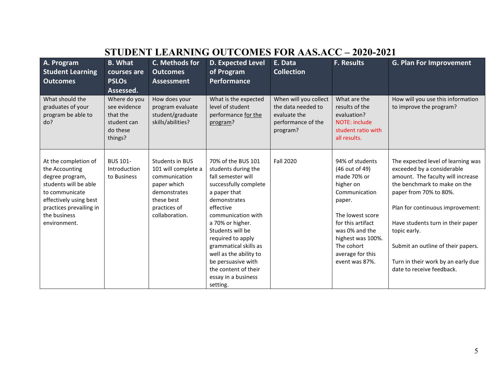| A. Program<br><b>Student Learning</b><br><b>Outcomes</b>                                                                                                                                  | <b>B.</b> What<br>courses are<br><b>PSLOs</b><br>Assessed.                     | C. Methods for<br><b>Outcomes</b><br><b>Assessment</b>                                                                                 | <b>D. Expected Level</b><br>of Program<br><b>Performance</b>                                                                                                                                                                                                                                                              | E. Data<br><b>Collection</b>                                                                  | <b>F. Results</b>                                                                                                                                                                                                            | <b>G. Plan For Improvement</b>                                                                                                                                                                                                                                                                                                                                    |
|-------------------------------------------------------------------------------------------------------------------------------------------------------------------------------------------|--------------------------------------------------------------------------------|----------------------------------------------------------------------------------------------------------------------------------------|---------------------------------------------------------------------------------------------------------------------------------------------------------------------------------------------------------------------------------------------------------------------------------------------------------------------------|-----------------------------------------------------------------------------------------------|------------------------------------------------------------------------------------------------------------------------------------------------------------------------------------------------------------------------------|-------------------------------------------------------------------------------------------------------------------------------------------------------------------------------------------------------------------------------------------------------------------------------------------------------------------------------------------------------------------|
| What should the<br>graduates of your<br>program be able to<br>do?                                                                                                                         | Where do you<br>see evidence<br>that the<br>student can<br>do these<br>things? | How does your<br>program evaluate<br>student/graduate<br>skills/abilities?                                                             | What is the expected<br>level of student<br>performance for the<br>program?                                                                                                                                                                                                                                               | When will you collect<br>the data needed to<br>evaluate the<br>performance of the<br>program? | What are the<br>results of the<br>evaluation?<br>NOTE: include<br>student ratio with<br>all results.                                                                                                                         | How will you use this information<br>to improve the program?                                                                                                                                                                                                                                                                                                      |
| At the completion of<br>the Accounting<br>degree program,<br>students will be able<br>to communicate<br>effectively using best<br>practices prevailing in<br>the business<br>environment. | <b>BUS 101-</b><br>Introduction<br>to Business                                 | Students in BUS<br>101 will complete a<br>communication<br>paper which<br>demonstrates<br>these best<br>practices of<br>collaboration. | 70% of the BUS 101<br>students during the<br>fall semester will<br>successfully complete<br>a paper that<br>demonstrates<br>effective<br>communication with<br>a 70% or higher.<br>Students will be<br>required to apply<br>grammatical skills as<br>well as the ability to<br>be persuasive with<br>the content of their | <b>Fall 2020</b>                                                                              | 94% of students<br>(46 out of 49)<br>made 70% or<br>higher on<br>Communication<br>paper.<br>The lowest score<br>for this artifact<br>was 0% and the<br>highest was 100%.<br>The cohort<br>average for this<br>event was 87%. | The expected level of learning was<br>exceeded by a considerable<br>amount. The faculty will increase<br>the benchmark to make on the<br>paper from 70% to 80%.<br>Plan for continuous improvement:<br>Have students turn in their paper<br>topic early.<br>Submit an outline of their papers.<br>Turn in their work by an early due<br>date to receive feedback. |

essay in a business

setting.

### **STUDENT LEARNING OUTCOMES FOR AAS.ACC – 2020-2021**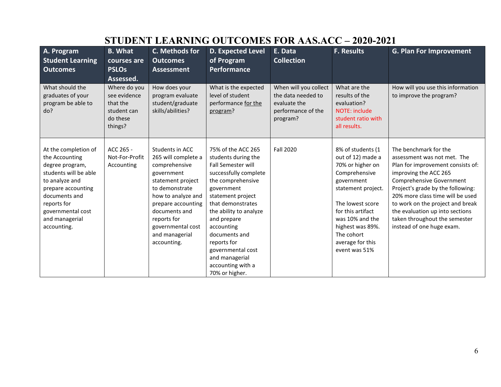| A. Program<br><b>Student Learning</b><br><b>Outcomes</b>                                                                                                                                                         | <b>B.</b> What<br>courses are<br><b>PSLOs</b><br>Assessed.                     | C. Methods for<br><b>Outcomes</b><br><b>Assessment</b>                                                                                                                                                                                         | D. Expected Level<br>of Program<br><b>Performance</b>                                                                                                                                                                                                                                                                                             | E. Data<br><b>Collection</b>                                                                  | <b>F. Results</b>                                                                                                                                                                                                                                  | <b>G. Plan For Improvement</b>                                                                                                                                                                                                                                                                                                                               |
|------------------------------------------------------------------------------------------------------------------------------------------------------------------------------------------------------------------|--------------------------------------------------------------------------------|------------------------------------------------------------------------------------------------------------------------------------------------------------------------------------------------------------------------------------------------|---------------------------------------------------------------------------------------------------------------------------------------------------------------------------------------------------------------------------------------------------------------------------------------------------------------------------------------------------|-----------------------------------------------------------------------------------------------|----------------------------------------------------------------------------------------------------------------------------------------------------------------------------------------------------------------------------------------------------|--------------------------------------------------------------------------------------------------------------------------------------------------------------------------------------------------------------------------------------------------------------------------------------------------------------------------------------------------------------|
| What should the<br>graduates of your<br>program be able to<br>do?                                                                                                                                                | Where do you<br>see evidence<br>that the<br>student can<br>do these<br>things? | How does your<br>program evaluate<br>student/graduate<br>skills/abilities?                                                                                                                                                                     | What is the expected<br>level of student<br>performance for the<br>program?                                                                                                                                                                                                                                                                       | When will you collect<br>the data needed to<br>evaluate the<br>performance of the<br>program? | What are the<br>results of the<br>evaluation?<br>NOTE: include<br>student ratio with<br>all results.                                                                                                                                               | How will you use this information<br>to improve the program?                                                                                                                                                                                                                                                                                                 |
| At the completion of<br>the Accounting<br>degree program,<br>students will be able<br>to analyze and<br>prepare accounting<br>documents and<br>reports for<br>governmental cost<br>and managerial<br>accounting. | ACC 265 -<br>Not-For-Profit<br>Accounting                                      | Students in ACC<br>265 will complete a<br>comprehensive<br>government<br>statement project<br>to demonstrate<br>how to analyze and<br>prepare accounting<br>documents and<br>reports for<br>governmental cost<br>and managerial<br>accounting. | 75% of the ACC 265<br>students during the<br><b>Fall Semester will</b><br>successfully complete<br>the comprehensive<br>government<br>statement project<br>that demonstrates<br>the ability to analyze<br>and prepare<br>accounting<br>documents and<br>reports for<br>governmental cost<br>and managerial<br>accounting with a<br>70% or higher. | <b>Fall 2020</b>                                                                              | 8% of students (1<br>out of 12) made a<br>70% or higher on<br>Comprehensive<br>government<br>statement project.<br>The lowest score<br>for this artifact<br>was 10% and the<br>highest was 89%.<br>The cohort<br>average for this<br>event was 51% | The benchmark for the<br>assessment was not met. The<br>Plan for improvement consists of:<br>improving the ACC 265<br>Comprehensive Government<br>Project's grade by the following:<br>20% more class time will be used<br>to work on the project and break<br>the evaluation up into sections<br>taken throughout the semester<br>instead of one huge exam. |

# **STUDENT LEARNING OUTCOMES FOR AAS.ACC – 2020-2021**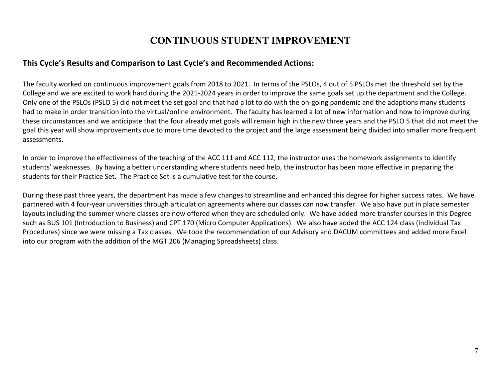### **CONTINUOUS STUDENT IMPROVEMENT**

#### **This Cycle's Results and Comparison to Last Cycle's and Recommended Actions:**

The faculty worked on continuous improvement goals from 2018 to 2021. In terms of the PSLOs, 4 out of 5 PSLOs met the threshold set by the College and we are excited to work hard during the 2021-2024 years in order to improve the same goals set up the department and the College. Only one of the PSLOs (PSLO 5) did not meet the set goal and that had a lot to do with the on-going pandemic and the adaptions many students had to make in order transition into the virtual/online environment. The faculty has learned a lot of new information and how to improve during these circumstances and we anticipate that the four already met goals will remain high in the new three years and the PSLO 5 that did not meet the goal this year will show improvements due to more time devoted to the project and the large assessment being divided into smaller more frequent assessments.

In order to improve the effectiveness of the teaching of the ACC 111 and ACC 112, the instructor uses the homework assignments to identify students' weaknesses. By having a better understanding where students need help, the instructor has been more effective in preparing the students for their Practice Set. The Practice Set is a cumulative test for the course.

During these past three years, the department has made a few changes to streamline and enhanced this degree for higher success rates. We have partnered with 4 four-year universities through articulation agreements where our classes can now transfer. We also have put in place semester layouts including the summer where classes are now offered when they are scheduled only. We have added more transfer courses in this Degree such as BUS 101 (Introduction to Business) and CPT 170 (Micro Computer Applications). We also have added the ACC 124 class (Individual Tax Procedures) since we were missing a Tax classes. We took the recommendation of our Advisory and DACUM committees and added more Excel into our program with the addition of the MGT 206 (Managing Spreadsheets) class.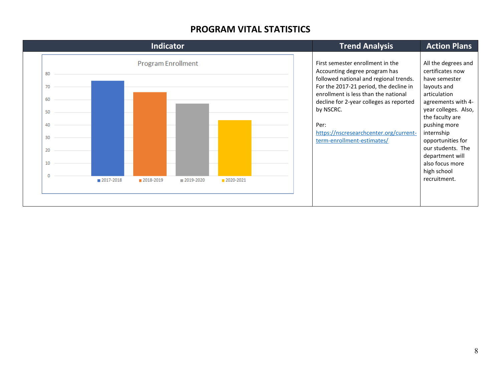#### **PROGRAM VITAL STATISTICS**

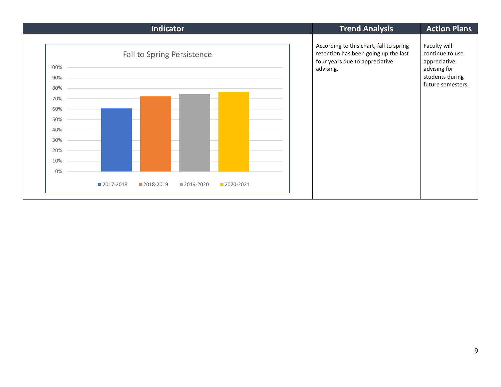| According to this chart, fall to spring<br>retention has been going up the last<br>four years due to appreciative<br>advising. | Faculty will<br>continue to use<br>appreciative      |
|--------------------------------------------------------------------------------------------------------------------------------|------------------------------------------------------|
|                                                                                                                                | advising for<br>students during<br>future semesters. |
|                                                                                                                                |                                                      |
|                                                                                                                                |                                                      |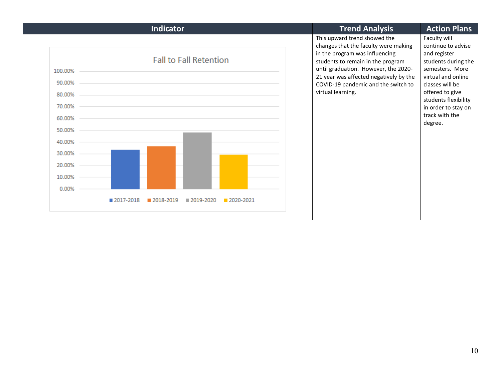| <b>Indicator</b>                                                                                                         | <b>Trend Analysis</b>                                                                                                                                                                                                                                                                     | <b>Action Plans</b>                                                                                                                                                                                                                  |
|--------------------------------------------------------------------------------------------------------------------------|-------------------------------------------------------------------------------------------------------------------------------------------------------------------------------------------------------------------------------------------------------------------------------------------|--------------------------------------------------------------------------------------------------------------------------------------------------------------------------------------------------------------------------------------|
| <b>Fall to Fall Retention</b><br>100.00%<br>90.00%<br>80.00%<br>70.00%<br>60.00%<br>50.00%<br>40.00%<br>30.00%<br>20.00% | This upward trend showed the<br>changes that the faculty were making<br>in the program was influencing<br>students to remain in the program<br>until graduation. However, the 2020-<br>21 year was affected negatively by the<br>COVID-19 pandemic and the switch to<br>virtual learning. | Faculty will<br>continue to advise<br>and register<br>students during the<br>semesters. More<br>virtual and online<br>classes will be<br>offered to give<br>students flexibility<br>in order to stay on<br>track with the<br>degree. |
| 10.00%<br>0.00%<br>2017-2018<br>2018-2019<br>■ 2019-2020<br>2020-2021                                                    |                                                                                                                                                                                                                                                                                           |                                                                                                                                                                                                                                      |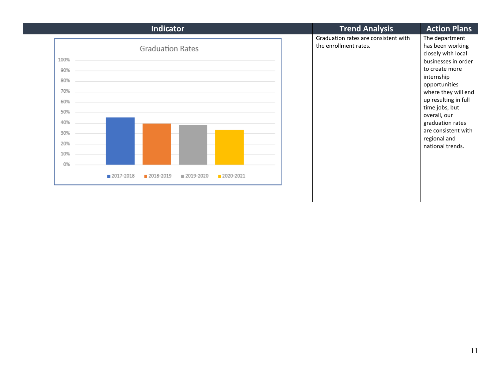